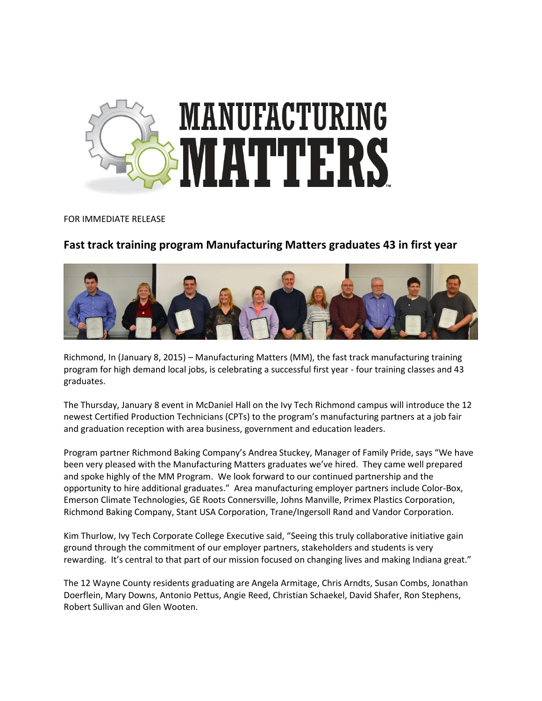

## FOR IMMEDIATE RELEASE

## **Fast track training program Manufacturing Matters graduates 43 in first year**



Richmond, In (January 8, 2015) – Manufacturing Matters (MM), the fast track manufacturing training program for high demand local jobs, is celebrating a successful first year - four training classes and 43 graduates.

The Thursday, January 8 event in McDaniel Hall on the Ivy Tech Richmond campus will introduce the 12 newest Certified Production Technicians (CPTs) to the program's manufacturing partners at a job fair and graduation reception with area business, government and education leaders.

Program partner Richmond Baking Company's Andrea Stuckey, Manager of Family Pride, says "We have been very pleased with the Manufacturing Matters graduates we've hired. They came well prepared and spoke highly of the MM Program. We look forward to our continued partnership and the opportunity to hire additional graduates." Area manufacturing employer partners include Color-Box, Emerson Climate Technologies, GE Roots Connersville, Johns Manville, Primex Plastics Corporation, Richmond Baking Company, Stant USA Corporation, Trane/Ingersoll Rand and Vandor Corporation.

Kim Thurlow, Ivy Tech Corporate College Executive said, "Seeing this truly collaborative initiative gain ground through the commitment of our employer partners, stakeholders and students is very rewarding. It's central to that part of our mission focused on changing lives and making Indiana great."

The 12 Wayne County residents graduating are Angela Armitage, Chris Arndts, Susan Combs, Jonathan Doerflein, Mary Downs, Antonio Pettus, Angie Reed, Christian Schaekel, David Shafer, Ron Stephens, Robert Sullivan and Glen Wooten.